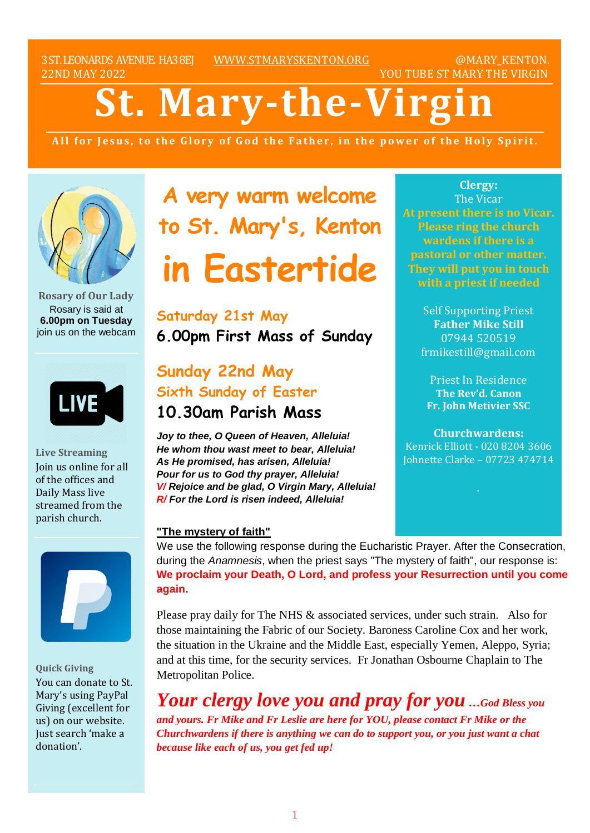3ST.LEONARDS AVENUE. HA38EJ [WWW.STMARYSKENTON.ORG](http://www.stmaryskenton.org/) @MARY\_KENTON. 22ND MAY 2022 YOU TUBE ST MARY THE VIRGIN

# **St. Mary-the-Virgi**

All for Jesus, to the Glory of God the Father, in the power of the Holy Spirit.



**Rosary of Our Lady** Rosary is said at **6.00pm on Tuesday** join us on the webcam



**Live Streaming** Join us online for all of the offices and Daily Mass live streamed from the parish church.



**Quick Giving** You can donate to St. Mary's using PayPal Giving (excellent for us) on our website. Just search 'make a donation'.

**A very warm welcome to St. Mary's, Kenton in Eastertide**

# **Saturday 21st May 6.00pm First Mass of Sunday**

# **Sunday 22nd May Sixth Sunday of Easter 10.30am Parish Mass**

*Joy to thee, O Queen of Heaven, Alleluia! He whom thou wast meet to bear, Alleluia! As He promised, has arisen, Alleluia! Pour for us to God thy prayer, Alleluia! V/ Rejoice and be glad, O Virgin Mary, Alleluia! R/ For the Lord is risen indeed, Alleluia!*

**Clergy:** The Vicar **At present there is no Vicar. Please ring the church wardens if there is a pastoral or other matter. They will put you in touch**

> Self Supporting Priest **Father Mike Still** 07944 520519 frmikestill@gmail.com

Priest In Residence **The Rev'd. Canon Fr. John Metivier SSC**

**Churchwardens:** Kenrick Elliott - 020 8204 3606 Johnette Clarke – 07723 474714

#### **"The mystery of faith"**

We use the following response during the Eucharistic Prayer. After the Consecration, during the *Anamnesis*, when the priest says "The mystery of faith", our response is: **We proclaim your Death, O Lord, and profess your Resurrection until you come again.** 

Please pray daily for The NHS & associated services, under such strain. Also for those maintaining the Fabric of our Society. Baroness Caroline Cox and her work, the situation in the Ukraine and the Middle East, especially Yemen, Aleppo, Syria; and at this time, for the security services. Fr Jonathan Osbourne Chaplain to The Metropolitan Police.

*Your clergy love you and pray for you …God Bless you and yours. Fr Mike and Fr Leslie are here for YOU, please contact Fr Mike or the Churchwardens if there is anything we can do to support you, or you just want a chat because like each of us, you get fed up!*